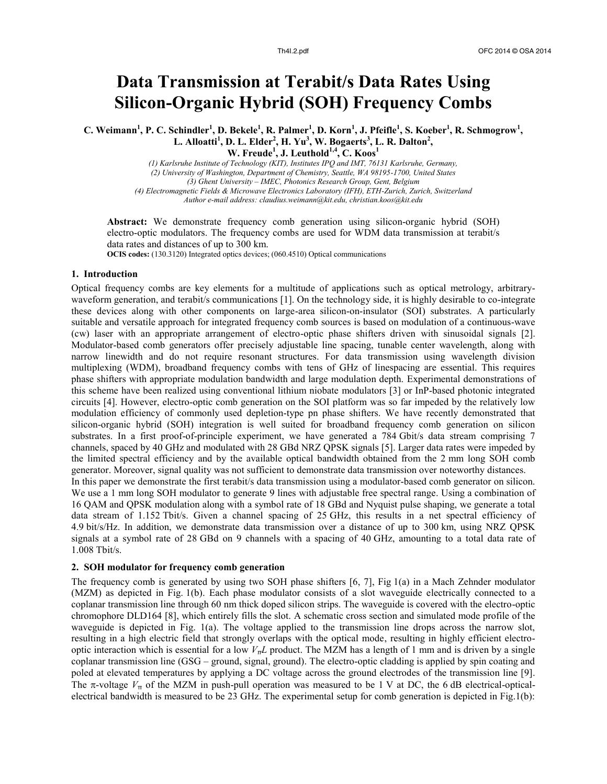# **Data Transmission at Terabit/s Data Rates Using Silicon-Organic Hybrid (SOH) Frequency Combs**

C. Weimann<sup>1</sup>, P. C. Schindler<sup>1</sup>, D. Bekele<sup>1</sup>, R. Palmer<sup>1</sup>, D. Korn<sup>1</sup>, J. Pfeifle<sup>1</sup>, S. Koeber<sup>1</sup>, R. Schmogrow<sup>1</sup>, **L. Alloatti<sup>1</sup> , D. L. Elder<sup>2</sup> , H. Yu<sup>3</sup> , W. Bogaerts<sup>3</sup> , L. R. Dalton<sup>2</sup> , W. Freude<sup>1</sup> , J. Leuthold1,4, C. Koos<sup>1</sup>**

*(1) Karlsruhe Institute of Technology (KIT), Institutes IPQ and IMT, 76131 Karlsruhe, Germany, (2) University of Washington, Department of Chemistry, Seattle, WA 98195-1700, United States (3) Ghent University – IMEC, Photonics Research Group, Gent, Belgium (4) Electromagnetic Fields & Microwave Electronics Laboratory (IFH), ETH-Zurich, Zurich, Switzerland Author e-mail address: claudius.weimann@kit.edu, christian.koos@kit.edu*

**Abstract:** We demonstrate frequency comb generation using silicon-organic hybrid (SOH) electro-optic modulators. The frequency combs are used for WDM data transmission at terabit/s data rates and distances of up to 300 km.

**OCIS codes:** (130.3120) Integrated optics devices; (060.4510) Optical communications

### **1. Introduction**

1.008 Tbit/s.

Optical frequency combs are key elements for a multitude of applications such as optical metrology, arbitrarywaveform generation, and terabit/s communications [1]. On the technology side, it is highly desirable to co-integrate these devices along with other components on large-area silicon-on-insulator (SOI) substrates. A particularly suitable and versatile approach for integrated frequency comb sources is based on modulation of a continuous-wave (cw) laser with an appropriate arrangement of electro-optic phase shifters driven with sinusoidal signals [2]. Modulator-based comb generators offer precisely adjustable line spacing, tunable center wavelength, along with narrow linewidth and do not require resonant structures. For data transmission using wavelength division multiplexing (WDM), broadband frequency combs with tens of GHz of linespacing are essential. This requires phase shifters with appropriate modulation bandwidth and large modulation depth. Experimental demonstrations of this scheme have been realized using conventional lithium niobate modulators [3] or InP-based photonic integrated circuits [4]. However, electro-optic comb generation on the SOI platform was so far impeded by the relatively low modulation efficiency of commonly used depletion-type pn phase shifters. We have recently demonstrated that silicon-organic hybrid (SOH) integration is well suited for broadband frequency comb generation on silicon substrates. In a first proof-of-principle experiment, we have generated a 784 Gbit/s data stream comprising 7 channels, spaced by 40 GHz and modulated with 28 GBd NRZ QPSK signals [5]. Larger data rates were impeded by the limited spectral efficiency and by the available optical bandwidth obtained from the 2 mm long SOH comb generator. Moreover, signal quality was not sufficient to demonstrate data transmission over noteworthy distances. In this paper we demonstrate the first terabit/s data transmission using a modulator-based comb generator on silicon. We use a 1 mm long SOH modulator to generate 9 lines with adjustable free spectral range. Using a combination of 16 QAM and QPSK modulation along with a symbol rate of 18 GBd and Nyquist pulse shaping, we generate a total data stream of 1.152 Tbit/s. Given a channel spacing of 25 GHz, this results in a net spectral efficiency of 4.9 bit/s/Hz. In addition, we demonstrate data transmission over a distance of up to 300 km, using NRZ QPSK signals at a symbol rate of 28 GBd on 9 channels with a spacing of 40 GHz, amounting to a total data rate of

#### **2. SOH modulator for frequency comb generation**

The frequency comb is generated by using two SOH phase shifters [6, 7], Fig 1(a) in a Mach Zehnder modulator (MZM) as depicted in Fig. 1(b). Each phase modulator consists of a slot waveguide electrically connected to a coplanar transmission line through 60 nm thick doped silicon strips. The waveguide is covered with the electro-optic chromophore DLD164 [8], which entirely fills the slot. A schematic cross section and simulated mode profile of the waveguide is depicted in Fig. 1(a). The voltage applied to the transmission line drops across the narrow slot, resulting in a high electric field that strongly overlaps with the optical mode, resulting in highly efficient electrooptic interaction which is essential for a low *VπL* product. The MZM has a length of 1 mm and is driven by a single coplanar transmission line (GSG – ground, signal, ground). The electro-optic cladding is applied by spin coating and poled at elevated temperatures by applying a DC voltage across the ground electrodes of the transmission line [9]. The  $\pi$ -voltage  $V_{\pi}$  of the MZM in push-pull operation was measured to be 1 V at DC, the 6 dB electrical-opticalelectrical bandwidth is measured to be 23 GHz. The experimental setup for comb generation is depicted in Fig.1(b):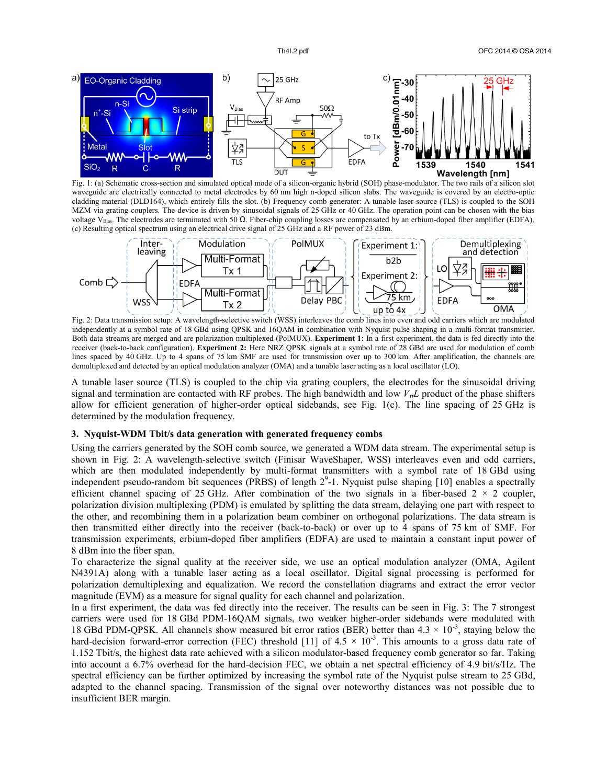

Fig. 1: (a) Schematic cross-section and simulated optical mode of a silicon-organic hybrid (SOH) phase-modulator. The two rails of a silicon slot waveguide are electrically connected to metal electrodes by 60 nm high n-doped silicon slabs. The waveguide is covered by an electro-optic cladding material (DLD164), which entirely fills the slot. (b) Frequency comb generator: A tunable laser source (TLS) is coupled to the SOH MZM via grating couplers. The device is driven by sinusoidal signals of 25 GHz or 40 GHz. The operation point can be chosen with the bias voltage V<sub>Bias</sub>. The electrodes are terminated with 50 Ω. Fiber-chip coupling losses are compensated by an erbium-doped fiber amplifier (EDFA). (c) Resulting optical spectrum using an electrical drive signal of 25 GHz and a RF power of 23 dBm.



Fig. 2: Data transmission setup: A wavelength-selective switch (WSS) interleaves the comb lines into even and odd carriers which are modulated independently at a symbol rate of 18 GBd using QPSK and 16QAM in combination with Nyquist pulse shaping in a multi-format transmitter. Both data streams are merged and are polarization multiplexed (PolMUX). **Experiment 1:** In a first experiment, the data is fed directly into the receiver (back-to-back configuration). **Experiment 2:** Here NRZ QPSK signals at a symbol rate of 28 GBd are used for modulation of comb lines spaced by 40 GHz. Up to 4 spans of 75 km SMF are used for transmission over up to 300 km. After amplification, the channels are demultiplexed and detected by an optical modulation analyzer (OMA) and a tunable laser acting as a local oscillator (LO).

A tunable laser source (TLS) is coupled to the chip via grating couplers, the electrodes for the sinusoidal driving signal and termination are contacted with RF probes. The high bandwidth and low *VπL* product of the phase shifters allow for efficient generation of higher-order optical sidebands, see Fig. 1(c). The line spacing of 25 GHz is determined by the modulation frequency.

# **3. Nyquist-WDM Tbit/s data generation with generated frequency combs**

Using the carriers generated by the SOH comb source, we generated a WDM data stream. The experimental setup is shown in Fig. 2: A wavelength-selective switch (Finisar WaveShaper, WSS) interleaves even and odd carriers, which are then modulated independently by multi-format transmitters with a symbol rate of 18 GBd using independent pseudo-random bit sequences (PRBS) of length  $2^9$ -1. Nyquist pulse shaping [10] enables a spectrally efficient channel spacing of 25 GHz. After combination of the two signals in a fiber-based  $2 \times 2$  coupler, polarization division multiplexing (PDM) is emulated by splitting the data stream, delaying one part with respect to the other, and recombining them in a polarization beam combiner on orthogonal polarizations. The data stream is then transmitted either directly into the receiver (back-to-back) or over up to 4 spans of 75 km of SMF. For transmission experiments, erbium-doped fiber amplifiers (EDFA) are used to maintain a constant input power of 8 dBm into the fiber span.

To characterize the signal quality at the receiver side, we use an optical modulation analyzer (OMA, Agilent N4391A) along with a tunable laser acting as a local oscillator. Digital signal processing is performed for polarization demultiplexing and equalization. We record the constellation diagrams and extract the error vector magnitude (EVM) as a measure for signal quality for each channel and polarization.

In a first experiment, the data was fed directly into the receiver. The results can be seen in Fig. 3: The 7 strongest carriers were used for 18 GBd PDM-16QAM signals, two weaker higher-order sidebands were modulated with 18 GBd PDM-QPSK. All channels show measured bit error ratios (BER) better than  $4.3 \times 10^{-3}$ , staying below the hard-decision forward-error correction (FEC) threshold [11] of  $4.5 \times 10^{-3}$ . This amounts to a gross data rate of 1.152 Tbit/s, the highest data rate achieved with a silicon modulator-based frequency comb generator so far. Taking into account a 6.7% overhead for the hard-decision FEC, we obtain a net spectral efficiency of 4.9 bit/s/Hz. The spectral efficiency can be further optimized by increasing the symbol rate of the Nyquist pulse stream to 25 GBd, adapted to the channel spacing. Transmission of the signal over noteworthy distances was not possible due to insufficient BER margin.